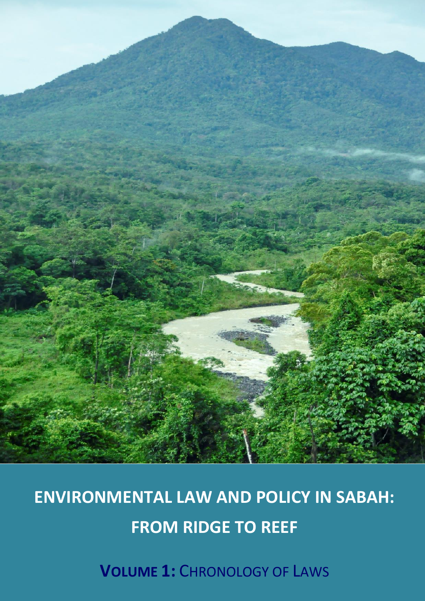

# **ENVIRONMENTAL LAW AND POLICY IN SABAH: FROM RIDGE TO REEF**

**VOLUME 1:** CHRONOLOGY OF LAWS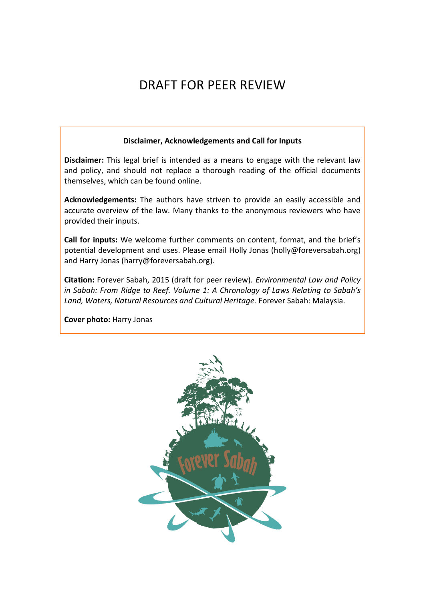## DRAFT FOR PEER REVIEW

#### **Disclaimer, Acknowledgements and Call for Inputs**

**Disclaimer:** This legal brief is intended as a means to engage with the relevant law and policy, and should not replace a thorough reading of the official documents themselves, which can be found online.

**Acknowledgements:** The authors have striven to provide an easily accessible and accurate overview of the law. Many thanks to the anonymous reviewers who have provided their inputs.

**Call for inputs:** We welcome further comments on content, format, and the brief's potential development and uses. Please email Holly Jonas (holly@foreversabah.org) and Harry Jonas (harry@foreversabah.org).

**Citation:** Forever Sabah, 2015 (draft for peer review). *Environmental Law and Policy in Sabah: From Ridge to Reef. Volume 1: A Chronology of Laws Relating to Sabah's Land, Waters, Natural Resources and Cultural Heritage.* Forever Sabah: Malaysia.

**Cover photo:** Harry Jonas

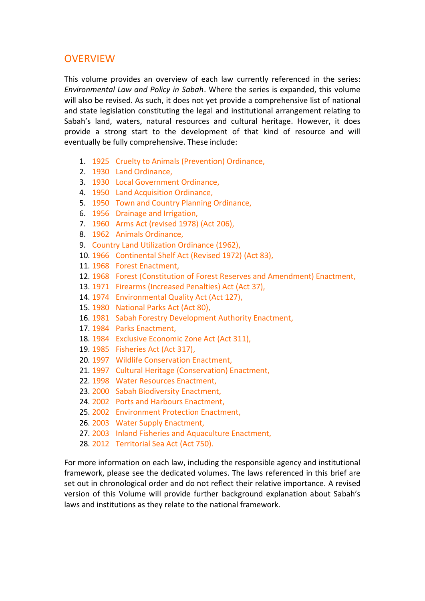#### **OVERVIEW**

This volume provides an overview of each law currently referenced in the series: *Environmental Law and Policy in Sabah*. Where the series is expanded, this volume will also be revised. As such, it does not yet provide a comprehensive list of national and state legislation constituting the legal and institutional arrangement relating to Sabah's land, waters, natural resources and cultural heritage. However, it does provide a strong start to the development of that kind of resource and will eventually be fully comprehensive. These include:

- 1. 1925 Cruelty to Animals (Prevention) Ordinance,
- 2. 1930 Land Ordinance,
- 3. 1930 Local Government Ordinance,
- 4. 1950 Land Acquisition Ordinance,
- 5. 1950 Town and Country Planning Ordinance,
- 6. 1956 Drainage and Irrigation,
- 7. 1960 Arms Act (revised 1978) (Act 206),
- 8. 1962 Animals Ordinance,
- 9. Country Land Utilization Ordinance (1962),
- 10. 1966 Continental Shelf Act (Revised 1972) (Act 83),
- 11. 1968 Forest Enactment,
- 12. 1968 Forest (Constitution of Forest Reserves and Amendment) Enactment,
- 13. 1971 Firearms (Increased Penalties) Act (Act 37),
- 14. 1974 Environmental Quality Act (Act 127),
- 15. 1980 National Parks Act (Act 80),
- 16. 1981 Sabah Forestry Development Authority Enactment,
- 17. 1984 Parks Enactment,
- 18. 1984 Exclusive Economic Zone Act (Act 311),
- 19. 1985 Fisheries Act (Act 317),
- 20. 1997 Wildlife Conservation Enactment,
- 21. 1997 Cultural Heritage (Conservation) Enactment,
- 22. 1998 Water Resources Enactment,
- 23. 2000 Sabah Biodiversity Enactment,
- 24. 2002 Ports and Harbours Enactment,
- 25. 2002 Environment Protection Enactment,
- 26. 2003 Water Supply Enactment,
- 27. 2003 Inland Fisheries and Aquaculture Enactment,
- 28. 2012 Territorial Sea Act (Act 750).

For more information on each law, including the responsible agency and institutional framework, please see the dedicated volumes. The laws referenced in this brief are set out in chronological order and do not reflect their relative importance. A revised version of this Volume will provide further background explanation about Sabah's laws and institutions as they relate to the national framework.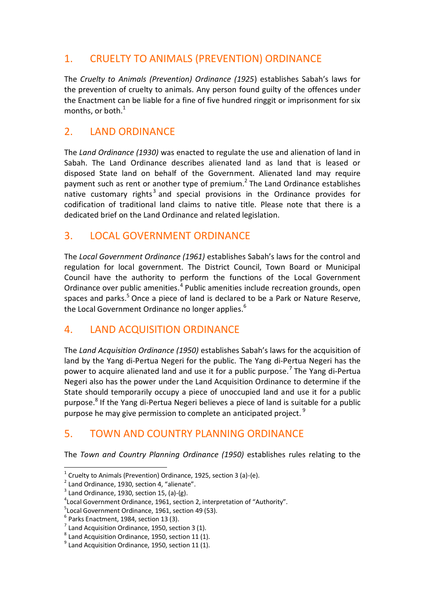#### 1. CRUELTY TO ANIMALS (PREVENTION) ORDINANCE

The *Cruelty to Animals (Prevention) Ordinance (1925*) establishes Sabah's laws for the prevention of cruelty to animals. Any person found guilty of the offences under the Enactment can be liable for a fine of five hundred ringgit or imprisonment for six months, or both. 1

#### 2. LAND ORDINANCE

The *Land Ordinance (1930)* was enacted to regulate the use and alienation of land in Sabah. The Land Ordinance describes alienated land as land that is leased or disposed State land on behalf of the Government. Alienated land may require payment such as rent or another type of premium. $^2$  The Land Ordinance establishes native customary rights<sup>3</sup> and special provisions in the Ordinance provides for codification of traditional land claims to native title. Please note that there is a dedicated brief on the Land Ordinance and related legislation.

#### 3. LOCAL GOVERNMENT ORDINANCE

The *Local Government Ordinance (1961)* establishes Sabah's laws for the control and regulation for local government. The District Council, Town Board or Municipal Council have the authority to perform the functions of the Local Government Ordinance over public amenities.<sup>4</sup> Public amenities include recreation grounds, open spaces and parks.<sup>5</sup> Once a piece of land is declared to be a Park or Nature Reserve, the Local Government Ordinance no longer applies.<sup>6</sup>

#### 4. LAND ACQUISITION ORDINANCE

The *Land Acquisition Ordinance (1950)* establishes Sabah's laws for the acquisition of land by the Yang di-Pertua Negeri for the public. The Yang di-Pertua Negeri has the power to acquire alienated land and use it for a public purpose.<sup>7</sup> The Yang di-Pertua Negeri also has the power under the Land Acquisition Ordinance to determine if the State should temporarily occupy a piece of unoccupied land and use it for a public purpose.<sup>8</sup> If the Yang di-Pertua Negeri believes a piece of land is suitable for a public purpose he may give permission to complete an anticipated project.<sup>9</sup>

#### 5. TOWN AND COUNTRY PLANNING ORDINANCE

The *Town and Country Planning Ordinance (1950)* establishes rules relating to the

 $1$  Cruelty to Animals (Prevention) Ordinance, 1925, section 3 (a)-(e).

 $2$  Land Ordinance, 1930, section 4, "alienate".

 $3$  Land Ordinance, 1930, section 15, (a)-(g).

<sup>4</sup> Local Government Ordinance, 1961, section 2, interpretation of "Authority".

<sup>&</sup>lt;sup>5</sup> Local Government Ordinance, 1961, section 49 (53).

 $<sup>6</sup>$  Parks Enactment, 1984, section 13 (3).</sup>

 $<sup>7</sup>$  Land Acquisition Ordinance, 1950, section 3 (1).</sup>

 $^8$  Land Acquisition Ordinance, 1950, section 11 (1).

 $<sup>9</sup>$  Land Acquisition Ordinance, 1950, section 11 (1).</sup>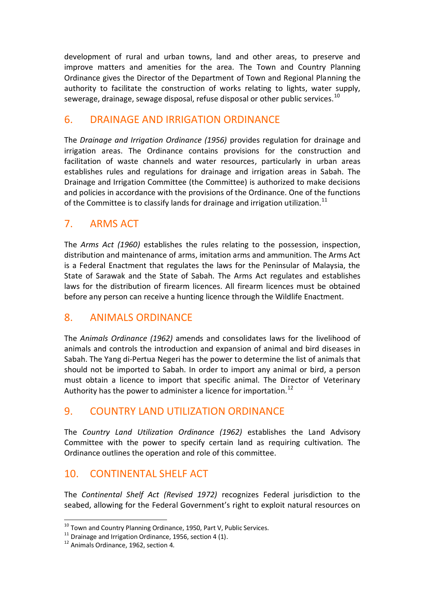development of rural and urban towns, land and other areas, to preserve and improve matters and amenities for the area. The Town and Country Planning Ordinance gives the Director of the Department of Town and Regional Planning the authority to facilitate the construction of works relating to lights, water supply, sewerage, drainage, sewage disposal, refuse disposal or other public services.<sup>10</sup>

#### 6. DRAINAGE AND IRRIGATION ORDINANCE

The *Drainage and Irrigation Ordinance (1956)* provides regulation for drainage and irrigation areas. The Ordinance contains provisions for the construction and facilitation of waste channels and water resources, particularly in urban areas establishes rules and regulations for drainage and irrigation areas in Sabah. The Drainage and Irrigation Committee (the Committee) is authorized to make decisions and policies in accordance with the provisions of the Ordinance. One of the functions of the Committee is to classify lands for drainage and irrigation utilization.<sup>11</sup>

#### 7. ARMS ACT

The *Arms Act (1960)* establishes the rules relating to the possession, inspection, distribution and maintenance of arms, imitation arms and ammunition. The Arms Act is a Federal Enactment that regulates the laws for the Peninsular of Malaysia, the State of Sarawak and the State of Sabah. The Arms Act regulates and establishes laws for the distribution of firearm licences. All firearm licences must be obtained before any person can receive a hunting licence through the Wildlife Enactment.

#### 8. ANIMALS ORDINANCE

The *Animals Ordinance (1962)* amends and consolidates laws for the livelihood of animals and controls the introduction and expansion of animal and bird diseases in Sabah. The Yang di-Pertua Negeri has the power to determine the list of animals that should not be imported to Sabah. In order to import any animal or bird, a person must obtain a licence to import that specific animal. The Director of Veterinary Authority has the power to administer a licence for importation.<sup>12</sup>

#### 9. COUNTRY LAND UTILIZATION ORDINANCE

The *Country Land Utilization Ordinance (1962)* establishes the Land Advisory Committee with the power to specify certain land as requiring cultivation. The Ordinance outlines the operation and role of this committee.

#### 10. CONTINENTAL SHELF ACT

The *Continental Shelf Act (Revised 1972)* recognizes Federal jurisdiction to the seabed, allowing for the Federal Government's right to exploit natural resources on

 $^{10}$  Town and Country Planning Ordinance, 1950, Part V, Public Services.

 $11$  Drainage and Irrigation Ordinance, 1956, section 4 (1).

<sup>&</sup>lt;sup>12</sup> Animals Ordinance, 1962, section 4.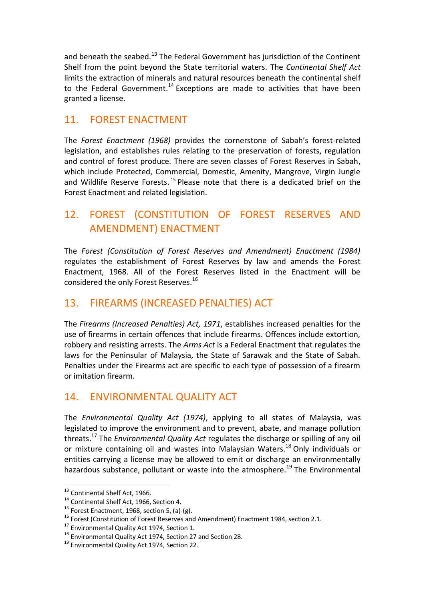and beneath the seabed.<sup>13</sup> The Federal Government has jurisdiction of the Continent Shelf from the point beyond the State territorial waters. The *Continental Shelf Act* limits the extraction of minerals and natural resources beneath the continental shelf to the Federal Government.<sup>14</sup> Exceptions are made to activities that have been granted a license.

#### 11. FOREST ENACTMENT

The *Forest Enactment (1968)* provides the cornerstone of Sabah's forest-related legislation, and establishes rules relating to the preservation of forests, regulation and control of forest produce. There are seven classes of Forest Reserves in Sabah, which include Protected, Commercial, Domestic, Amenity, Mangrove, Virgin Jungle and Wildlife Reserve Forests.<sup>15</sup> Please note that there is a dedicated brief on the Forest Enactment and related legislation.

### 12. FOREST (CONSTITUTION OF FOREST RESERVES AND AMENDMENT) ENACTMENT

The *Forest (Constitution of Forest Reserves and Amendment) Enactment (1984)* regulates the establishment of Forest Reserves by law and amends the Forest Enactment, 1968. All of the Forest Reserves listed in the Enactment will be considered the only Forest Reserves.<sup>16</sup>

#### 13. FIREARMS (INCREASED PENALTIES) ACT

The *Firearms (Increased Penalties) Act, 1971*, establishes increased penalties for the use of firearms in certain offences that include firearms. Offences include extortion, robbery and resisting arrests. The *Arms Act* is a Federal Enactment that regulates the laws for the Peninsular of Malaysia, the State of Sarawak and the State of Sabah. Penalties under the Firearms act are specific to each type of possession of a firearm or imitation firearm.

#### 14. ENVIRONMENTAL QUALITY ACT

The *Environmental Quality Act (1974)*, applying to all states of Malaysia, was legislated to improve the environment and to prevent, abate, and manage pollution threats.<sup>17</sup> The *Environmental Quality Act* regulates the discharge or spilling of any oil or mixture containing oil and wastes into Malaysian Waters.<sup>18</sup> Only individuals or entities carrying a license may be allowed to emit or discharge an environmentally hazardous substance, pollutant or waste into the atmosphere.<sup>19</sup> The Environmental

<sup>&</sup>lt;sup>13</sup> Continental Shelf Act, 1966.

<sup>&</sup>lt;sup>14</sup> Continental Shelf Act, 1966, Section 4.

<sup>&</sup>lt;sup>15</sup> Forest Enactment, 1968, section 5, (a)-(g).

<sup>&</sup>lt;sup>16</sup> Forest (Constitution of Forest Reserves and Amendment) Enactment 1984, section 2.1.

<sup>&</sup>lt;sup>17</sup> Environmental Quality Act 1974, Section 1.

<sup>&</sup>lt;sup>18</sup> Environmental Quality Act 1974, Section 27 and Section 28.

<sup>&</sup>lt;sup>19</sup> Environmental Quality Act 1974, Section 22.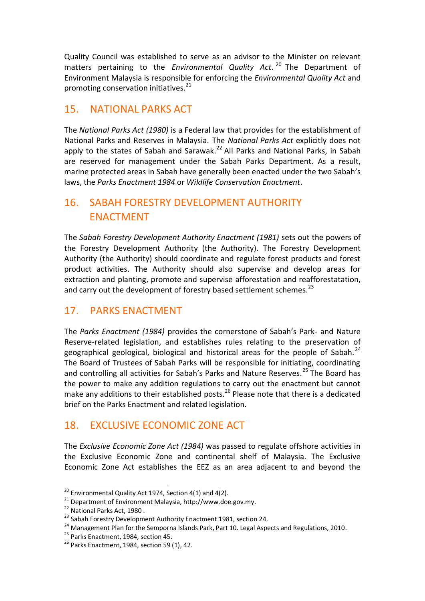Quality Council was established to serve as an advisor to the Minister on relevant matters pertaining to the *Environmental Quality Act*. <sup>20</sup> The Department of Environment Malaysia is responsible for enforcing the *Environmental Quality Act* and promoting conservation initiatives.<sup>21</sup>

#### 15. NATIONAL PARKS ACT

The *National Parks Act (1980)* is a Federal law that provides for the establishment of National Parks and Reserves in Malaysia. The *National Parks Act* explicitly does not apply to the states of Sabah and Sarawak.<sup>22</sup> All Parks and National Parks, in Sabah are reserved for management under the Sabah Parks Department. As a result, marine protected areas in Sabah have generally been enacted under the two Sabah's laws, the *Parks Enactment 1984* or *Wildlife Conservation Enactment*.

#### 16. SABAH FORESTRY DEVELOPMENT AUTHORITY ENACTMENT

The *Sabah Forestry Development Authority Enactment (1981)* sets out the powers of the Forestry Development Authority (the Authority). The Forestry Development Authority (the Authority) should coordinate and regulate forest products and forest product activities. The Authority should also supervise and develop areas for extraction and planting, promote and supervise afforestation and reafforestatation, and carry out the development of forestry based settlement schemes. $^{23}$ 

#### 17. PARKS ENACTMENT

The *Parks Enactment (1984)* provides the cornerstone of Sabah's Park- and Nature Reserve-related legislation, and establishes rules relating to the preservation of geographical geological, biological and historical areas for the people of Sabah.<sup>24</sup> The Board of Trustees of Sabah Parks will be responsible for initiating, coordinating and controlling all activities for Sabah's Parks and Nature Reserves.<sup>25</sup> The Board has the power to make any addition regulations to carry out the enactment but cannot make any additions to their established posts. $^{26}$  Please note that there is a dedicated brief on the Parks Enactment and related legislation.

#### 18. EXCLUSIVE ECONOMIC ZONE ACT

The *Exclusive Economic Zone Act (1984)* was passed to regulate offshore activities in the Exclusive Economic Zone and continental shelf of Malaysia. The Exclusive Economic Zone Act establishes the EEZ as an area adjacent to and beyond the

 $20$  Environmental Quality Act 1974, Section 4(1) and 4(2).

<sup>21</sup> Department of Environment Malaysia, http://www.doe.gov.my.

<sup>&</sup>lt;sup>22</sup> National Parks Act, 1980.

<sup>&</sup>lt;sup>23</sup> Sabah Forestry Development Authority Enactment 1981, section 24.

<sup>&</sup>lt;sup>24</sup> Management Plan for the Semporna Islands Park, Part 10. Legal Aspects and Regulations, 2010.

<sup>&</sup>lt;sup>25</sup> Parks Enactment, 1984, section 45.

 $26$  Parks Enactment, 1984, section 59 (1), 42.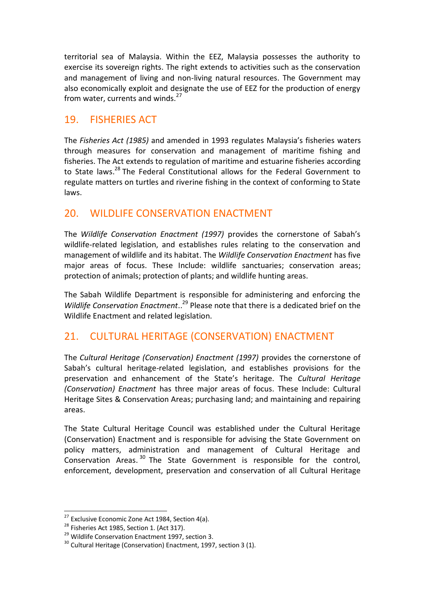territorial sea of Malaysia. Within the EEZ, Malaysia possesses the authority to exercise its sovereign rights. The right extends to activities such as the conservation and management of living and non-living natural resources. The Government may also economically exploit and designate the use of EEZ for the production of energy from water, currents and winds.<sup>27</sup>

#### 19. FISHERIES ACT

The *Fisheries Act (1985)* and amended in 1993 regulates Malaysia's fisheries waters through measures for conservation and management of maritime fishing and fisheries. The Act extends to regulation of maritime and estuarine fisheries according to State laws.<sup>28</sup> The Federal Constitutional allows for the Federal Government to regulate matters on turtles and riverine fishing in the context of conforming to State laws.

#### 20. WILDLIFE CONSERVATION ENACTMENT

The *Wildlife Conservation Enactment (1997)* provides the cornerstone of Sabah's wildlife-related legislation, and establishes rules relating to the conservation and management of wildlife and its habitat. The *Wildlife Conservation Enactment* has five major areas of focus. These Include: wildlife sanctuaries; conservation areas; protection of animals; protection of plants; and wildlife hunting areas.

The Sabah Wildlife Department is responsible for administering and enforcing the Wildlife Conservation Enactment..<sup>29</sup> Please note that there is a dedicated brief on the Wildlife Enactment and related legislation.

#### 21. CULTURAL HERITAGE (CONSERVATION) ENACTMENT

The *Cultural Heritage (Conservation) Enactment (1997)* provides the cornerstone of Sabah's cultural heritage-related legislation, and establishes provisions for the preservation and enhancement of the State's heritage. The *Cultural Heritage (Conservation) Enactment* has three major areas of focus. These Include: Cultural Heritage Sites & Conservation Areas; purchasing land; and maintaining and repairing areas.

The State Cultural Heritage Council was established under the Cultural Heritage (Conservation) Enactment and is responsible for advising the State Government on policy matters, administration and management of Cultural Heritage and Conservation Areas. <sup>30</sup> The State Government is responsible for the control, enforcement, development, preservation and conservation of all Cultural Heritage

 $27$  Exclusive Economic Zone Act 1984, Section 4(a).

<sup>&</sup>lt;sup>28</sup> Fisheries Act 1985, Section 1. (Act 317).

<sup>&</sup>lt;sup>29</sup> Wildlife Conservation Enactment 1997, section 3.

 $30$  Cultural Heritage (Conservation) Enactment, 1997, section 3 (1).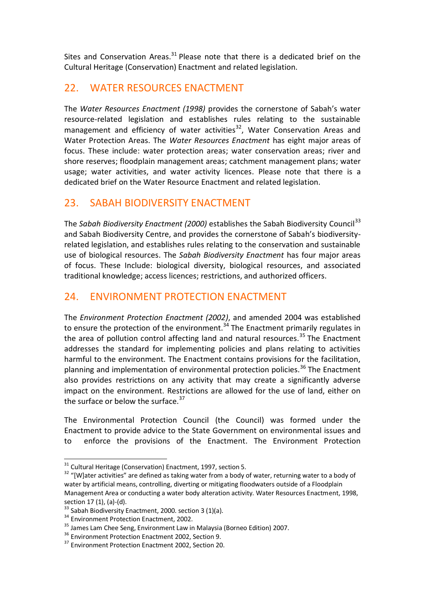Sites and Conservation Areas. $31$  Please note that there is a dedicated brief on the Cultural Heritage (Conservation) Enactment and related legislation.

#### 22. WATER RESOURCES ENACTMENT

The *Water Resources Enactment (1998)* provides the cornerstone of Sabah's water resource-related legislation and establishes rules relating to the sustainable management and efficiency of water activities<sup>32</sup>, Water Conservation Areas and Water Protection Areas. The *Water Resources Enactment* has eight major areas of focus. These include: water protection areas; water conservation areas; river and shore reserves; floodplain management areas; catchment management plans; water usage; water activities, and water activity licences. Please note that there is a dedicated brief on the Water Resource Enactment and related legislation.

#### 23. SABAH BIODIVERSITY ENACTMENT

The *Sabah Biodiversity Enactment (2000)* establishes the Sabah Biodiversity Council<sup>33</sup> and Sabah Biodiversity Centre, and provides the cornerstone of Sabah's biodiversityrelated legislation, and establishes rules relating to the conservation and sustainable use of biological resources. The *Sabah Biodiversity Enactment* has four major areas of focus. These Include: biological diversity, biological resources, and associated traditional knowledge; access licences; restrictions, and authorized officers.

#### 24. ENVIRONMENT PROTECTION ENACTMENT

The *Environment Protection Enactment (2002)*, and amended 2004 was established to ensure the protection of the environment.<sup>34</sup> The Enactment primarily regulates in the area of pollution control affecting land and natural resources.<sup>35</sup> The Enactment addresses the standard for implementing policies and plans relating to activities harmful to the environment. The Enactment contains provisions for the facilitation, planning and implementation of environmental protection policies.<sup>36</sup> The Enactment also provides restrictions on any activity that may create a significantly adverse impact on the environment. Restrictions are allowed for the use of land, either on the surface or below the surface.<sup>37</sup>

The Environmental Protection Council (the Council) was formed under the Enactment to provide advice to the State Government on environmental issues and to enforce the provisions of the Enactment. The Environment Protection

 $31$  Cultural Heritage (Conservation) Enactment, 1997, section 5.

<sup>&</sup>lt;sup>32</sup> "[W]ater activities" are defined as taking water from a body of water, returning water to a body of water by artificial means, controlling, diverting or mitigating floodwaters outside of a Floodplain Management Area or conducting a water body alteration activity. Water Resources Enactment, 1998, section 17 (1), (a)-(d).

 $33$  Sabah Biodiversity Enactment, 2000. section 3 (1)(a).

<sup>&</sup>lt;sup>34</sup> Environment Protection Enactment, 2002.

<sup>&</sup>lt;sup>35</sup> James Lam Chee Seng, Environment Law in Malaysia (Borneo Edition) 2007.

<sup>36</sup> Environment Protection Enactment 2002, Section 9.

<sup>&</sup>lt;sup>37</sup> Environment Protection Enactment 2002, Section 20.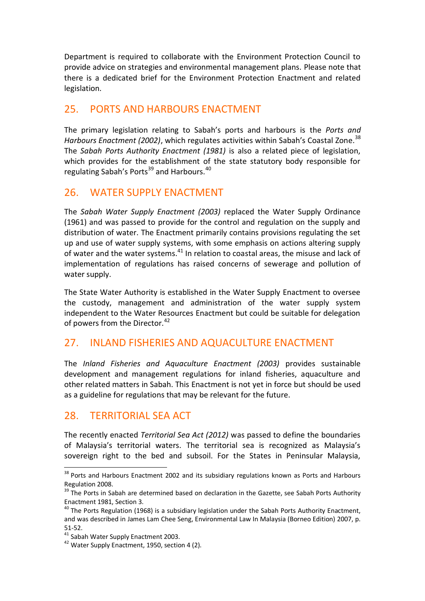Department is required to collaborate with the Environment Protection Council to provide advice on strategies and environmental management plans. Please note that there is a dedicated brief for the Environment Protection Enactment and related legislation.

#### 25. PORTS AND HARBOURS ENACTMENT

The primary legislation relating to Sabah's ports and harbours is the *Ports and Harbours Enactment (2002)*, which regulates activities within Sabah's Coastal Zone.<sup>38</sup> The *Sabah Ports Authority Enactment (1981)* is also a related piece of legislation, which provides for the establishment of the state statutory body responsible for regulating Sabah's Ports $39$  and Harbours.<sup>40</sup>

#### 26. WATER SUPPLY ENACTMENT

The *Sabah Water Supply Enactment (2003)* replaced the Water Supply Ordinance (1961) and was passed to provide for the control and regulation on the supply and distribution of water. The Enactment primarily contains provisions regulating the set up and use of water supply systems, with some emphasis on actions altering supply of water and the water systems.<sup>41</sup> In relation to coastal areas, the misuse and lack of implementation of regulations has raised concerns of sewerage and pollution of water supply.

The State Water Authority is established in the Water Supply Enactment to oversee the custody, management and administration of the water supply system independent to the Water Resources Enactment but could be suitable for delegation of powers from the Director.<sup>42</sup>

#### 27. INLAND FISHERIES AND AQUACULTURE ENACTMENT

The *Inland Fisheries and Aquaculture Enactment (2003)* provides sustainable development and management regulations for inland fisheries, aquaculture and other related matters in Sabah. This Enactment is not yet in force but should be used as a guideline for regulations that may be relevant for the future.

#### 28. TERRITORIAL SEA ACT

The recently enacted *Territorial Sea Act (2012)* was passed to define the boundaries of Malaysia's territorial waters. The territorial sea is recognized as Malaysia's sovereign right to the bed and subsoil. For the States in Peninsular Malaysia,

<sup>&</sup>lt;sup>38</sup> Ports and Harbours Enactment 2002 and its subsidiary regulations known as Ports and Harbours Regulation 2008.

<sup>&</sup>lt;sup>39</sup> The Ports in Sabah are determined based on declaration in the Gazette, see Sabah Ports Authority Enactment 1981, Section 3.

 $40$  The Ports Regulation (1968) is a subsidiary legislation under the Sabah Ports Authority Enactment, and was described in James Lam Chee Seng, Environmental Law In Malaysia (Borneo Edition) 2007, p. 51-52.

<sup>41</sup> Sabah Water Supply Enactment 2003.

<sup>&</sup>lt;sup>42</sup> Water Supply Enactment, 1950, section 4 (2).